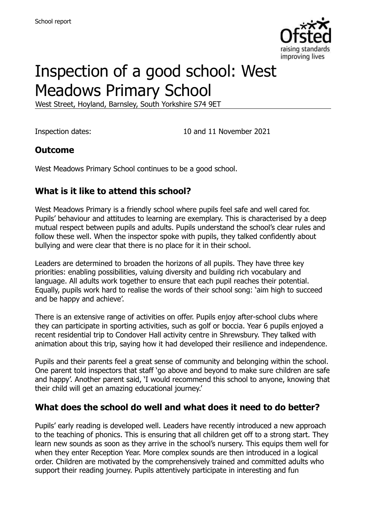

# Inspection of a good school: West Meadows Primary School

West Street, Hoyland, Barnsley, South Yorkshire S74 9ET

Inspection dates: 10 and 11 November 2021

#### **Outcome**

West Meadows Primary School continues to be a good school.

# **What is it like to attend this school?**

West Meadows Primary is a friendly school where pupils feel safe and well cared for. Pupils' behaviour and attitudes to learning are exemplary. This is characterised by a deep mutual respect between pupils and adults. Pupils understand the school's clear rules and follow these well. When the inspector spoke with pupils, they talked confidently about bullying and were clear that there is no place for it in their school.

Leaders are determined to broaden the horizons of all pupils. They have three key priorities: enabling possibilities, valuing diversity and building rich vocabulary and language. All adults work together to ensure that each pupil reaches their potential. Equally, pupils work hard to realise the words of their school song: 'aim high to succeed and be happy and achieve'.

There is an extensive range of activities on offer. Pupils enjoy after-school clubs where they can participate in sporting activities, such as golf or boccia. Year 6 pupils enjoyed a recent residential trip to Condover Hall activity centre in Shrewsbury. They talked with animation about this trip, saying how it had developed their resilience and independence.

Pupils and their parents feel a great sense of community and belonging within the school. One parent told inspectors that staff 'go above and beyond to make sure children are safe and happy'. Another parent said, 'I would recommend this school to anyone, knowing that their child will get an amazing educational journey.'

# **What does the school do well and what does it need to do better?**

Pupils' early reading is developed well. Leaders have recently introduced a new approach to the teaching of phonics. This is ensuring that all children get off to a strong start. They learn new sounds as soon as they arrive in the school's nursery. This equips them well for when they enter Reception Year. More complex sounds are then introduced in a logical order. Children are motivated by the comprehensively trained and committed adults who support their reading journey. Pupils attentively participate in interesting and fun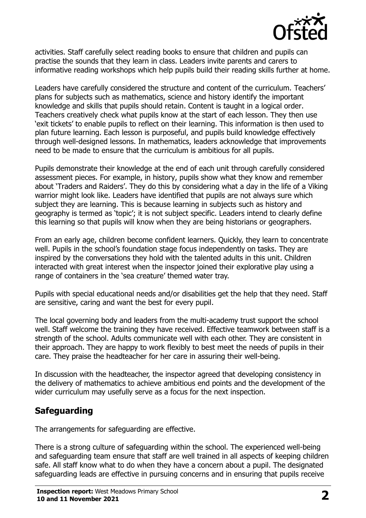

activities. Staff carefully select reading books to ensure that children and pupils can practise the sounds that they learn in class. Leaders invite parents and carers to informative reading workshops which help pupils build their reading skills further at home.

Leaders have carefully considered the structure and content of the curriculum. Teachers' plans for subjects such as mathematics, science and history identify the important knowledge and skills that pupils should retain. Content is taught in a logical order. Teachers creatively check what pupils know at the start of each lesson. They then use 'exit tickets' to enable pupils to reflect on their learning. This information is then used to plan future learning. Each lesson is purposeful, and pupils build knowledge effectively through well-designed lessons. In mathematics, leaders acknowledge that improvements need to be made to ensure that the curriculum is ambitious for all pupils.

Pupils demonstrate their knowledge at the end of each unit through carefully considered assessment pieces. For example, in history, pupils show what they know and remember about 'Traders and Raiders'. They do this by considering what a day in the life of a Viking warrior might look like. Leaders have identified that pupils are not always sure which subject they are learning. This is because learning in subjects such as history and geography is termed as 'topic'; it is not subject specific. Leaders intend to clearly define this learning so that pupils will know when they are being historians or geographers.

From an early age, children become confident learners. Quickly, they learn to concentrate well. Pupils in the school's foundation stage focus independently on tasks. They are inspired by the conversations they hold with the talented adults in this unit. Children interacted with great interest when the inspector joined their explorative play using a range of containers in the 'sea creature' themed water tray.

Pupils with special educational needs and/or disabilities get the help that they need. Staff are sensitive, caring and want the best for every pupil.

The local governing body and leaders from the multi-academy trust support the school well. Staff welcome the training they have received. Effective teamwork between staff is a strength of the school. Adults communicate well with each other. They are consistent in their approach. They are happy to work flexibly to best meet the needs of pupils in their care. They praise the headteacher for her care in assuring their well-being.

In discussion with the headteacher, the inspector agreed that developing consistency in the delivery of mathematics to achieve ambitious end points and the development of the wider curriculum may usefully serve as a focus for the next inspection.

# **Safeguarding**

The arrangements for safeguarding are effective.

There is a strong culture of safeguarding within the school. The experienced well-being and safeguarding team ensure that staff are well trained in all aspects of keeping children safe. All staff know what to do when they have a concern about a pupil. The designated safeguarding leads are effective in pursuing concerns and in ensuring that pupils receive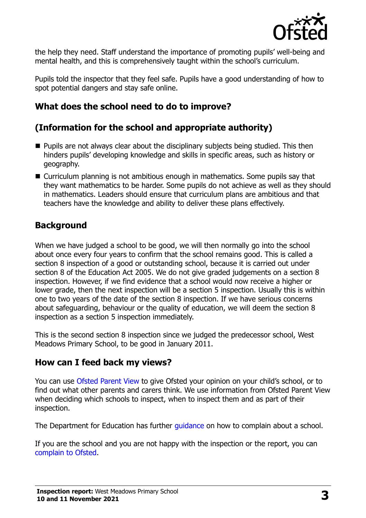

the help they need. Staff understand the importance of promoting pupils' well-being and mental health, and this is comprehensively taught within the school's curriculum.

Pupils told the inspector that they feel safe. Pupils have a good understanding of how to spot potential dangers and stay safe online.

# **What does the school need to do to improve?**

# **(Information for the school and appropriate authority)**

- $\blacksquare$  Pupils are not always clear about the disciplinary subjects being studied. This then hinders pupils' developing knowledge and skills in specific areas, such as history or geography.
- Curriculum planning is not ambitious enough in mathematics. Some pupils say that they want mathematics to be harder. Some pupils do not achieve as well as they should in mathematics. Leaders should ensure that curriculum plans are ambitious and that teachers have the knowledge and ability to deliver these plans effectively.

# **Background**

When we have judged a school to be good, we will then normally go into the school about once every four years to confirm that the school remains good. This is called a section 8 inspection of a good or outstanding school, because it is carried out under section 8 of the Education Act 2005. We do not give graded judgements on a section 8 inspection. However, if we find evidence that a school would now receive a higher or lower grade, then the next inspection will be a section 5 inspection. Usually this is within one to two years of the date of the section 8 inspection. If we have serious concerns about safeguarding, behaviour or the quality of education, we will deem the section 8 inspection as a section 5 inspection immediately.

This is the second section 8 inspection since we judged the predecessor school, West Meadows Primary School, to be good in January 2011.

# **How can I feed back my views?**

You can use [Ofsted Parent View](https://parentview.ofsted.gov.uk/) to give Ofsted your opinion on your child's school, or to find out what other parents and carers think. We use information from Ofsted Parent View when deciding which schools to inspect, when to inspect them and as part of their inspection.

The Department for Education has further quidance on how to complain about a school.

If you are the school and you are not happy with the inspection or the report, you can [complain to Ofsted.](https://www.gov.uk/complain-ofsted-report)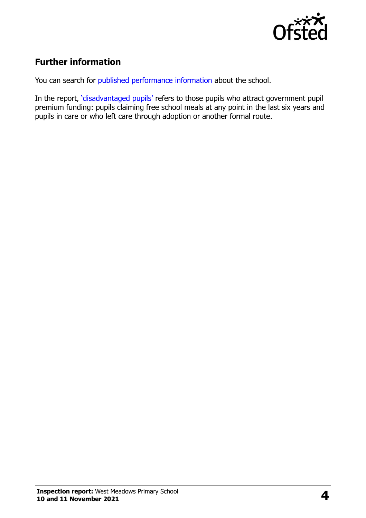

# **Further information**

You can search for [published performance information](http://www.compare-school-performance.service.gov.uk/) about the school.

In the report, '[disadvantaged pupils](http://www.gov.uk/guidance/pupil-premium-information-for-schools-and-alternative-provision-settings)' refers to those pupils who attract government pupil premium funding: pupils claiming free school meals at any point in the last six years and pupils in care or who left care through adoption or another formal route.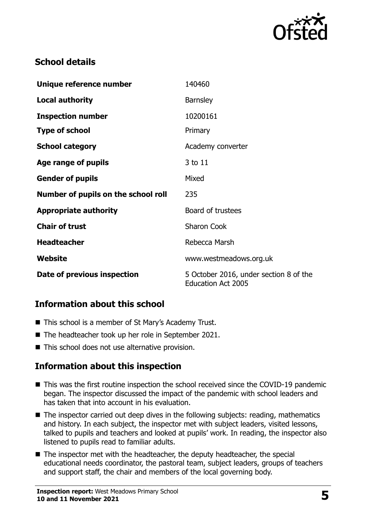

# **School details**

| Unique reference number             | 140460                                                              |
|-------------------------------------|---------------------------------------------------------------------|
| <b>Local authority</b>              | <b>Barnsley</b>                                                     |
| <b>Inspection number</b>            | 10200161                                                            |
| <b>Type of school</b>               | Primary                                                             |
| <b>School category</b>              | Academy converter                                                   |
| Age range of pupils                 | 3 to 11                                                             |
| <b>Gender of pupils</b>             | Mixed                                                               |
| Number of pupils on the school roll | 235                                                                 |
| <b>Appropriate authority</b>        | Board of trustees                                                   |
| <b>Chair of trust</b>               | <b>Sharon Cook</b>                                                  |
| <b>Headteacher</b>                  | Rebecca Marsh                                                       |
| Website                             | www.westmeadows.org.uk                                              |
| Date of previous inspection         | 5 October 2016, under section 8 of the<br><b>Education Act 2005</b> |

# **Information about this school**

- This school is a member of St Mary's Academy Trust.
- The headteacher took up her role in September 2021.
- This school does not use alternative provision.

# **Information about this inspection**

- This was the first routine inspection the school received since the COVID-19 pandemic began. The inspector discussed the impact of the pandemic with school leaders and has taken that into account in his evaluation.
- The inspector carried out deep dives in the following subjects: reading, mathematics and history. In each subject, the inspector met with subject leaders, visited lessons, talked to pupils and teachers and looked at pupils' work. In reading, the inspector also listened to pupils read to familiar adults.
- The inspector met with the headteacher, the deputy headteacher, the special educational needs coordinator, the pastoral team, subject leaders, groups of teachers and support staff, the chair and members of the local governing body.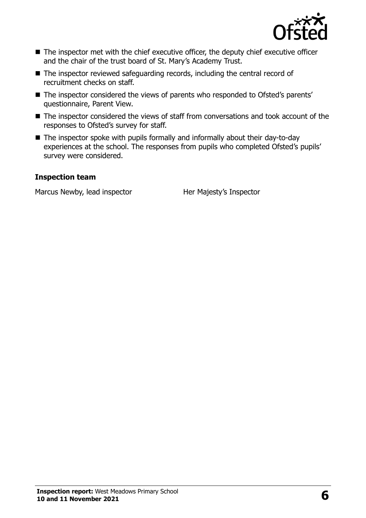

- The inspector met with the chief executive officer, the deputy chief executive officer and the chair of the trust board of St. Mary's Academy Trust.
- The inspector reviewed safeguarding records, including the central record of recruitment checks on staff.
- The inspector considered the views of parents who responded to Ofsted's parents' questionnaire, Parent View.
- The inspector considered the views of staff from conversations and took account of the responses to Ofsted's survey for staff.
- The inspector spoke with pupils formally and informally about their day-to-day experiences at the school. The responses from pupils who completed Ofsted's pupils' survey were considered.

#### **Inspection team**

Marcus Newby, lead inspector Her Majesty's Inspector